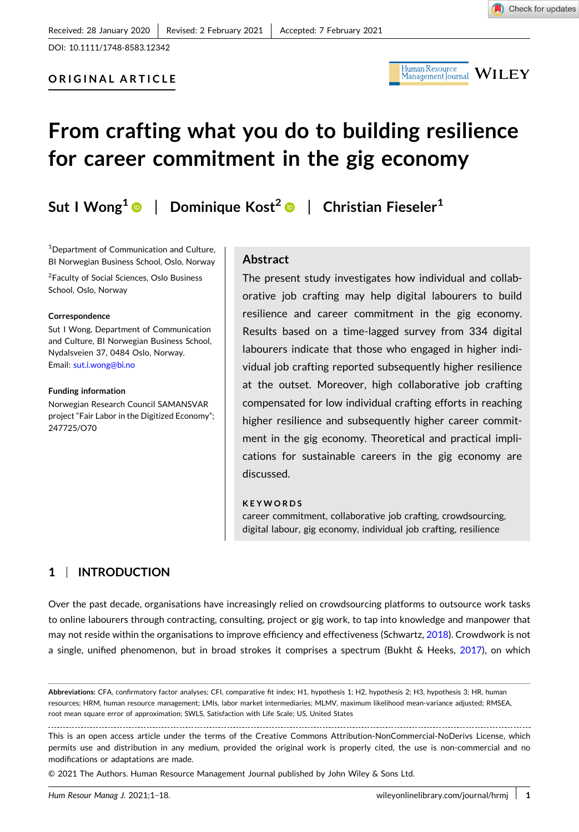DOI: [10.1111/1748-8583.12342](https://doi.org/10.1111/1748-8583.12342)



# **From crafting what you do to building resilience for career commitment in the gig economy**

**Sut I Wong<sup>1</sup>** | **Dominique Kost<sup>2</sup>** | **Christian Fieseler1**

<sup>1</sup>Department of Communication and Culture, BI Norwegian Business School, Oslo, Norway

<sup>2</sup>Faculty of Social Sciences, Oslo Business School, Oslo, Norway

#### **Correspondence**

Sut I Wong, Department of Communication and Culture, BI Norwegian Business School, Nydalsveien 37, 0484 Oslo, Norway. Email: [sut.i.wong@bi.no](mailto:sut.i.wong@bi.no)

#### **Funding information**

Norwegian Research Council SAMANSVAR project "Fair Labor in the Digitized Economy"; 247725/O70

### **Abstract**

The present study investigates how individual and collaborative job crafting may help digital labourers to build resilience and career commitment in the gig economy. Results based on a time‐lagged survey from 334 digital labourers indicate that those who engaged in higher individual job crafting reported subsequently higher resilience at the outset. Moreover, high collaborative job crafting compensated for low individual crafting efforts in reaching higher resilience and subsequently higher career commitment in the gig economy. Theoretical and practical implications for sustainable careers in the gig economy are discussed.

#### **KEYWORDS**

career commitment, collaborative job crafting, crowdsourcing, digital labour, gig economy, individual job crafting, resilience

# **1** <sup>|</sup> **INTRODUCTION**

Over the past decade, organisations have increasingly relied on crowdsourcing platforms to outsource work tasks to online labourers through contracting, consulting, project or gig work, to tap into knowledge and manpower that may not reside within the organisations to improve efficiency and effectiveness (Schwartz, [2018\)](#page-17-0). Crowdwork is not a single, unified phenomenon, but in broad strokes it comprises a spectrum (Bukht & Heeks, [2017\)](#page-16-0), on which

**Abbreviations:** CFA, confirmatory factor analyses; CFI, comparative fit index; H1, hypothesis 1; H2, hypothesis 2; H3, hypothesis 3; HR, human resources; HRM, human resource management; LMIs, labor market intermediaries; MLMV, maximum likelihood mean‐variance adjusted; RMSEA, root mean square error of approximation; SWLS, Satisfaction with Life Scale; US, United States

This is an open access article under the terms of the Creative Commons Attribution‐NonCommercial‐NoDerivs License, which permits use and distribution in any medium, provided the original work is properly cited, the use is non-commercial and no modifications or adaptations are made.

<sup>©</sup> 2021 The Authors. Human Resource Management Journal published by John Wiley & Sons Ltd.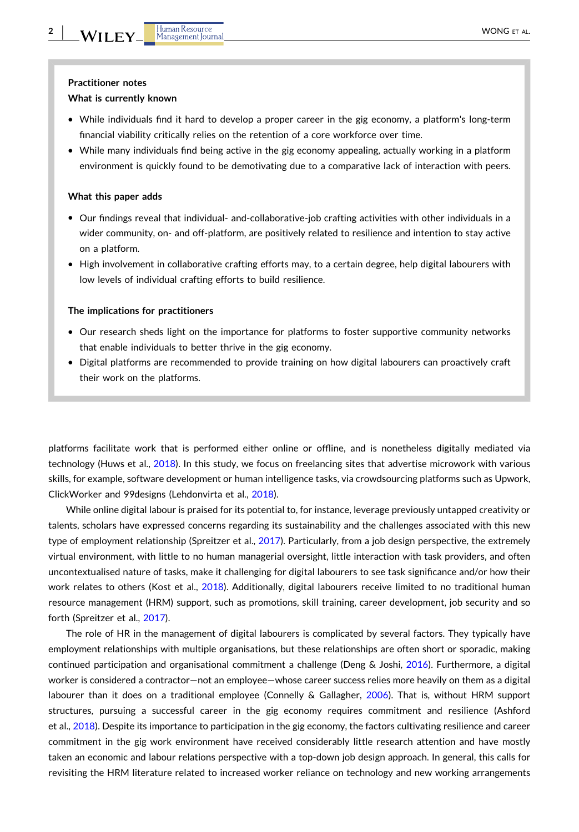#### **Practitioner notes**

#### **What is currently known**

- � While individuals find it hard to develop a proper career in the gig economy, a platform's long‐term financial viability critically relies on the retention of a core workforce over time.
- � While many individuals find being active in the gig economy appealing, actually working in a platform environment is quickly found to be demotivating due to a comparative lack of interaction with peers.

#### **What this paper adds**

- Our findings reveal that individual- and-collaborative-job crafting activities with other individuals in a wider community, on- and off-platform, are positively related to resilience and intention to stay active on a platform.
- � High involvement in collaborative crafting efforts may, to a certain degree, help digital labourers with low levels of individual crafting efforts to build resilience.

#### **The implications for practitioners**

- � Our research sheds light on the importance for platforms to foster supportive community networks that enable individuals to better thrive in the gig economy.
- � Digital platforms are recommended to provide training on how digital labourers can proactively craft their work on the platforms.

platforms facilitate work that is performed either online or offline, and is nonetheless digitally mediated via technology (Huws et al., [2018](#page-17-0)). In this study, we focus on freelancing sites that advertise microwork with various skills, for example, software development or human intelligence tasks, via crowdsourcing platforms such as Upwork, ClickWorker and 99designs (Lehdonvirta et al., [2018](#page-17-0)).

While online digital labour is praised for its potential to, for instance, leverage previously untapped creativity or talents, scholars have expressed concerns regarding its sustainability and the challenges associated with this new type of employment relationship (Spreitzer et al., [2017\)](#page-17-0). Particularly, from a job design perspective, the extremely virtual environment, with little to no human managerial oversight, little interaction with task providers, and often uncontextualised nature of tasks, make it challenging for digital labourers to see task significance and/or how their work relates to others (Kost et al., [2018](#page-17-0)). Additionally, digital labourers receive limited to no traditional human resource management (HRM) support, such as promotions, skill training, career development, job security and so forth (Spreitzer et al., [2017](#page-17-0)).

The role of HR in the management of digital labourers is complicated by several factors. They typically have employment relationships with multiple organisations, but these relationships are often short or sporadic, making continued participation and organisational commitment a challenge (Deng & Joshi, [2016\)](#page-16-0). Furthermore, a digital worker is considered a contractor—not an employee—whose career success relies more heavily on them as a digital labourer than it does on a traditional employee (Connelly & Gallagher, [2006](#page-16-0)). That is, without HRM support structures, pursuing a successful career in the gig economy requires commitment and resilience (Ashford et al., [2018\)](#page-16-0). Despite its importance to participation in the gig economy, the factors cultivating resilience and career commitment in the gig work environment have received considerably little research attention and have mostly taken an economic and labour relations perspective with a top‐down job design approach. In general, this calls for revisiting the HRM literature related to increased worker reliance on technology and new working arrangements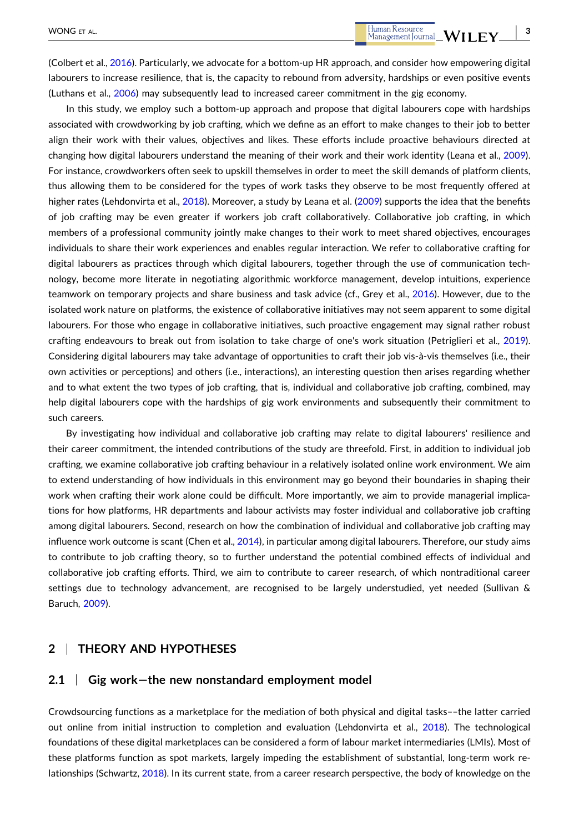(Colbert et al., [2016](#page-16-0)). Particularly, we advocate for a bottom‐up HR approach, and consider how empowering digital labourers to increase resilience, that is, the capacity to rebound from adversity, hardships or even positive events (Luthans et al., [2006\)](#page-17-0) may subsequently lead to increased career commitment in the gig economy.

In this study, we employ such a bottom-up approach and propose that digital labourers cope with hardships associated with crowdworking by job crafting, which we define as an effort to make changes to their job to better align their work with their values, objectives and likes. These efforts include proactive behaviours directed at changing how digital labourers understand the meaning of their work and their work identity (Leana et al., [2009](#page-17-0)). For instance, crowdworkers often seek to upskill themselves in order to meet the skill demands of platform clients, thus allowing them to be considered for the types of work tasks they observe to be most frequently offered at higher rates (Lehdonvirta et al., [2018](#page-17-0)). Moreover, a study by Leana et al. [\(2009\)](#page-17-0) supports the idea that the benefits of job crafting may be even greater if workers job craft collaboratively. Collaborative job crafting, in which members of a professional community jointly make changes to their work to meet shared objectives, encourages individuals to share their work experiences and enables regular interaction. We refer to collaborative crafting for digital labourers as practices through which digital labourers, together through the use of communication technology, become more literate in negotiating algorithmic workforce management, develop intuitions, experience teamwork on temporary projects and share business and task advice (cf., Grey et al., [2016\)](#page-16-0). However, due to the isolated work nature on platforms, the existence of collaborative initiatives may not seem apparent to some digital labourers. For those who engage in collaborative initiatives, such proactive engagement may signal rather robust crafting endeavours to break out from isolation to take charge of one's work situation (Petriglieri et al., [2019](#page-17-0)). Considering digital labourers may take advantage of opportunities to craft their job vis‐à‐vis themselves (i.e., their own activities or perceptions) and others (i.e., interactions), an interesting question then arises regarding whether and to what extent the two types of job crafting, that is, individual and collaborative job crafting, combined, may help digital labourers cope with the hardships of gig work environments and subsequently their commitment to such careers.

By investigating how individual and collaborative job crafting may relate to digital labourers' resilience and their career commitment, the intended contributions of the study are threefold. First, in addition to individual job crafting, we examine collaborative job crafting behaviour in a relatively isolated online work environment. We aim to extend understanding of how individuals in this environment may go beyond their boundaries in shaping their work when crafting their work alone could be difficult. More importantly, we aim to provide managerial implications for how platforms, HR departments and labour activists may foster individual and collaborative job crafting among digital labourers. Second, research on how the combination of individual and collaborative job crafting may influence work outcome is scant (Chen et al., [2014](#page-16-0)), in particular among digital labourers. Therefore, our study aims to contribute to job crafting theory, so to further understand the potential combined effects of individual and collaborative job crafting efforts. Third, we aim to contribute to career research, of which nontraditional career settings due to technology advancement, are recognised to be largely understudied, yet needed (Sullivan & Baruch, [2009](#page-17-0)).

# **2** <sup>|</sup> **THEORY AND HYPOTHESES**

# **2.1** <sup>|</sup> **Gig work—the new nonstandard employment model**

Crowdsourcing functions as a marketplace for the mediation of both physical and digital tasks––the latter carried out online from initial instruction to completion and evaluation (Lehdonvirta et al., [2018](#page-17-0)). The technological foundations of these digital marketplaces can be considered a form of labour market intermediaries (LMIs). Most of these platforms function as spot markets, largely impeding the establishment of substantial, long-term work relationships (Schwartz, [2018](#page-17-0)). In its current state, from a career research perspective, the body of knowledge on the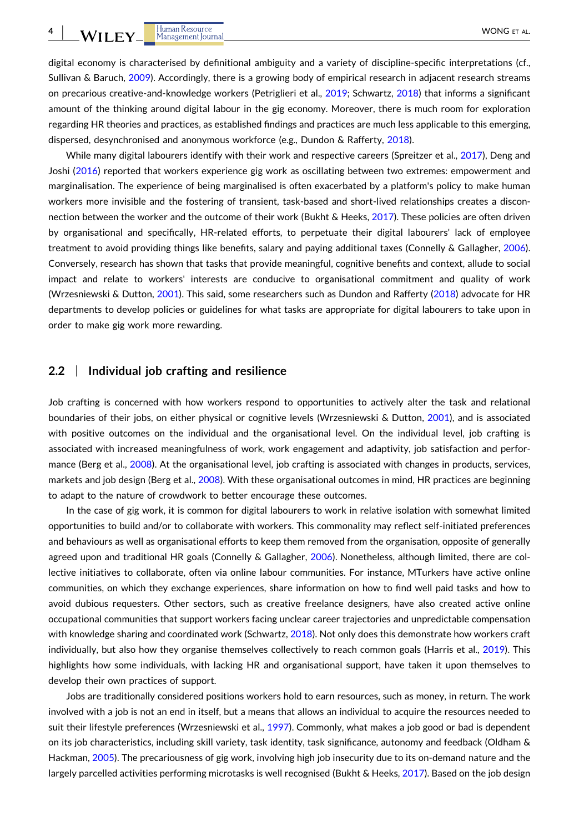digital economy is characterised by definitional ambiguity and a variety of discipline-specific interpretations (cf., Sullivan & Baruch, [2009](#page-17-0)). Accordingly, there is a growing body of empirical research in adjacent research streams on precarious creative-and-knowledge workers (Petriglieri et al., [2019;](#page-17-0) Schwartz, [2018\)](#page-17-0) that informs a significant amount of the thinking around digital labour in the gig economy. Moreover, there is much room for exploration regarding HR theories and practices, as established findings and practices are much less applicable to this emerging, dispersed, desynchronised and anonymous workforce (e.g., Dundon & Rafferty, [2018\)](#page-16-0).

While many digital labourers identify with their work and respective careers (Spreitzer et al., [2017\)](#page-17-0), Deng and Joshi [\(2016\)](#page-16-0) reported that workers experience gig work as oscillating between two extremes: empowerment and marginalisation. The experience of being marginalised is often exacerbated by a platform's policy to make human workers more invisible and the fostering of transient, task-based and short-lived relationships creates a disconnection between the worker and the outcome of their work (Bukht & Heeks, [2017\)](#page-16-0). These policies are often driven by organisational and specifically, HR‐related efforts, to perpetuate their digital labourers' lack of employee treatment to avoid providing things like benefits, salary and paying additional taxes (Connelly & Gallagher, [2006](#page-16-0)). Conversely, research has shown that tasks that provide meaningful, cognitive benefits and context, allude to social impact and relate to workers' interests are conducive to organisational commitment and quality of work (Wrzesniewski & Dutton, [2001\)](#page-17-0). This said, some researchers such as Dundon and Rafferty [\(2018\)](#page-16-0) advocate for HR departments to develop policies or guidelines for what tasks are appropriate for digital labourers to take upon in order to make gig work more rewarding.

### **2.2** <sup>|</sup> **Individual job crafting and resilience**

Job crafting is concerned with how workers respond to opportunities to actively alter the task and relational boundaries of their jobs, on either physical or cognitive levels (Wrzesniewski & Dutton, [2001](#page-17-0)), and is associated with positive outcomes on the individual and the organisational level. On the individual level, job crafting is associated with increased meaningfulness of work, work engagement and adaptivity, job satisfaction and perfor-mance (Berg et al., [2008](#page-16-0)). At the organisational level, job crafting is associated with changes in products, services, markets and job design (Berg et al., [2008](#page-16-0)). With these organisational outcomes in mind, HR practices are beginning to adapt to the nature of crowdwork to better encourage these outcomes.

In the case of gig work, it is common for digital labourers to work in relative isolation with somewhat limited opportunities to build and/or to collaborate with workers. This commonality may reflect self‐initiated preferences and behaviours as well as organisational efforts to keep them removed from the organisation, opposite of generally agreed upon and traditional HR goals (Connelly & Gallagher, [2006](#page-16-0)). Nonetheless, although limited, there are collective initiatives to collaborate, often via online labour communities. For instance, MTurkers have active online communities, on which they exchange experiences, share information on how to find well paid tasks and how to avoid dubious requesters. Other sectors, such as creative freelance designers, have also created active online occupational communities that support workers facing unclear career trajectories and unpredictable compensation with knowledge sharing and coordinated work (Schwartz, [2018\)](#page-17-0). Not only does this demonstrate how workers craft individually, but also how they organise themselves collectively to reach common goals (Harris et al., [2019\)](#page-16-0). This highlights how some individuals, with lacking HR and organisational support, have taken it upon themselves to develop their own practices of support.

Jobs are traditionally considered positions workers hold to earn resources, such as money, in return. The work involved with a job is not an end in itself, but a means that allows an individual to acquire the resources needed to suit their lifestyle preferences (Wrzesniewski et al., [1997](#page-17-0)). Commonly, what makes a job good or bad is dependent on its job characteristics, including skill variety, task identity, task significance, autonomy and feedback (Oldham & Hackman, [2005\)](#page-17-0). The precariousness of gig work, involving high job insecurity due to its on-demand nature and the largely parcelled activities performing microtasks is well recognised (Bukht & Heeks, [2017](#page-16-0)). Based on the job design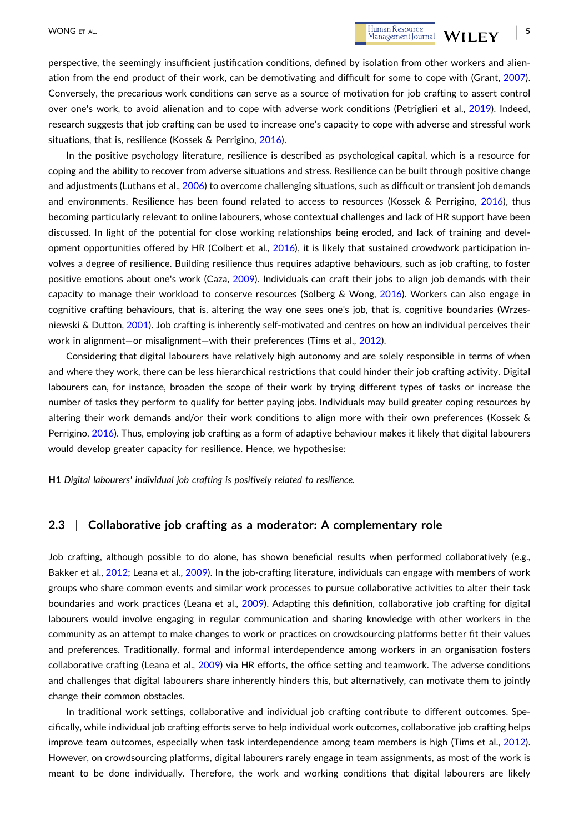perspective, the seemingly insufficient justification conditions, defined by isolation from other workers and alienation from the end product of their work, can be demotivating and difficult for some to cope with (Grant, [2007](#page-16-0)). Conversely, the precarious work conditions can serve as a source of motivation for job crafting to assert control over one's work, to avoid alienation and to cope with adverse work conditions (Petriglieri et al., [2019](#page-17-0)). Indeed, research suggests that job crafting can be used to increase one's capacity to cope with adverse and stressful work situations, that is, resilience (Kossek & Perrigino, [2016\)](#page-17-0).

In the positive psychology literature, resilience is described as psychological capital, which is a resource for coping and the ability to recover from adverse situations and stress. Resilience can be built through positive change and adjustments (Luthans et al., [2006](#page-17-0)) to overcome challenging situations, such as difficult or transient job demands and environments. Resilience has been found related to access to resources (Kossek & Perrigino, [2016](#page-17-0)), thus becoming particularly relevant to online labourers, whose contextual challenges and lack of HR support have been discussed. In light of the potential for close working relationships being eroded, and lack of training and development opportunities offered by HR (Colbert et al., [2016\)](#page-16-0), it is likely that sustained crowdwork participation involves a degree of resilience. Building resilience thus requires adaptive behaviours, such as job crafting, to foster positive emotions about one's work (Caza, [2009](#page-16-0)). Individuals can craft their jobs to align job demands with their capacity to manage their workload to conserve resources (Solberg & Wong, [2016\)](#page-17-0). Workers can also engage in cognitive crafting behaviours, that is, altering the way one sees one's job, that is, cognitive boundaries (Wrzes-niewski & Dutton, [2001](#page-17-0)). Job crafting is inherently self-motivated and centres on how an individual perceives their work in alignment—or misalignment—with their preferences (Tims et al., [2012](#page-17-0)).

Considering that digital labourers have relatively high autonomy and are solely responsible in terms of when and where they work, there can be less hierarchical restrictions that could hinder their job crafting activity. Digital labourers can, for instance, broaden the scope of their work by trying different types of tasks or increase the number of tasks they perform to qualify for better paying jobs. Individuals may build greater coping resources by altering their work demands and/or their work conditions to align more with their own preferences (Kossek & Perrigino, [2016](#page-17-0)). Thus, employing job crafting as a form of adaptive behaviour makes it likely that digital labourers would develop greater capacity for resilience. Hence, we hypothesise:

**H1** *Digital labourers' individual job crafting is positively related to resilience.*

### **2.3** <sup>|</sup> **Collaborative job crafting as a moderator: A complementary role**

Job crafting, although possible to do alone, has shown beneficial results when performed collaboratively (e.g., Bakker et al., [2012](#page-16-0); Leana et al., [2009\)](#page-17-0). In the job-crafting literature, individuals can engage with members of work groups who share common events and similar work processes to pursue collaborative activities to alter their task boundaries and work practices (Leana et al., [2009\)](#page-17-0). Adapting this definition, collaborative job crafting for digital labourers would involve engaging in regular communication and sharing knowledge with other workers in the community as an attempt to make changes to work or practices on crowdsourcing platforms better fit their values and preferences. Traditionally, formal and informal interdependence among workers in an organisation fosters collaborative crafting (Leana et al., [2009](#page-17-0)) via HR efforts, the office setting and teamwork. The adverse conditions and challenges that digital labourers share inherently hinders this, but alternatively, can motivate them to jointly change their common obstacles.

In traditional work settings, collaborative and individual job crafting contribute to different outcomes. Specifically, while individual job crafting efforts serve to help individual work outcomes, collaborative job crafting helps improve team outcomes, especially when task interdependence among team members is high (Tims et al., [2012](#page-17-0)). However, on crowdsourcing platforms, digital labourers rarely engage in team assignments, as most of the work is meant to be done individually. Therefore, the work and working conditions that digital labourers are likely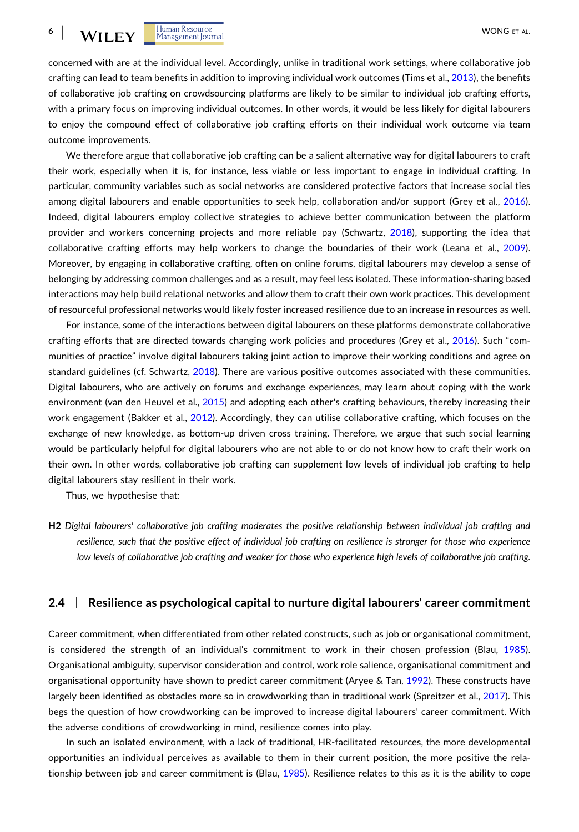concerned with are at the individual level. Accordingly, unlike in traditional work settings, where collaborative job crafting can lead to team benefits in addition to improving individual work outcomes (Tims et al., [2013\)](#page-17-0), the benefits of collaborative job crafting on crowdsourcing platforms are likely to be similar to individual job crafting efforts, with a primary focus on improving individual outcomes. In other words, it would be less likely for digital labourers to enjoy the compound effect of collaborative job crafting efforts on their individual work outcome via team outcome improvements.

We therefore argue that collaborative job crafting can be a salient alternative way for digital labourers to craft their work, especially when it is, for instance, less viable or less important to engage in individual crafting. In particular, community variables such as social networks are considered protective factors that increase social ties among digital labourers and enable opportunities to seek help, collaboration and/or support (Grey et al., [2016](#page-16-0)). Indeed, digital labourers employ collective strategies to achieve better communication between the platform provider and workers concerning projects and more reliable pay (Schwartz, [2018](#page-17-0)), supporting the idea that collaborative crafting efforts may help workers to change the boundaries of their work (Leana et al., [2009](#page-17-0)). Moreover, by engaging in collaborative crafting, often on online forums, digital labourers may develop a sense of belonging by addressing common challenges and as a result, may feel less isolated. These information‐sharing based interactions may help build relational networks and allow them to craft their own work practices. This development of resourceful professional networks would likely foster increased resilience due to an increase in resources as well.

For instance, some of the interactions between digital labourers on these platforms demonstrate collaborative crafting efforts that are directed towards changing work policies and procedures (Grey et al., [2016](#page-16-0)). Such "communities of practice" involve digital labourers taking joint action to improve their working conditions and agree on standard guidelines (cf. Schwartz, [2018](#page-17-0)). There are various positive outcomes associated with these communities. Digital labourers, who are actively on forums and exchange experiences, may learn about coping with the work environment (van den Heuvel et al., [2015\)](#page-17-0) and adopting each other's crafting behaviours, thereby increasing their work engagement (Bakker et al., [2012\)](#page-16-0). Accordingly, they can utilise collaborative crafting, which focuses on the exchange of new knowledge, as bottom-up driven cross training. Therefore, we argue that such social learning would be particularly helpful for digital labourers who are not able to or do not know how to craft their work on their own. In other words, collaborative job crafting can supplement low levels of individual job crafting to help digital labourers stay resilient in their work.

Thus, we hypothesise that:

H2 Digital labourers' collaborative job crafting moderates the positive relationship between individual job crafting and resilience, such that the positive effect of individual job crafting on resilience is stronger for those who experience low levels of collaborative job crafting and weaker for those who experience high levels of collaborative job crafting.

# **2.4** <sup>|</sup> **Resilience as psychological capital to nurture digital labourers' career commitment**

Career commitment, when differentiated from other related constructs, such as job or organisational commitment, is considered the strength of an individual's commitment to work in their chosen profession (Blau, [1985](#page-16-0)). Organisational ambiguity, supervisor consideration and control, work role salience, organisational commitment and organisational opportunity have shown to predict career commitment (Aryee & Tan, [1992\)](#page-16-0). These constructs have largely been identified as obstacles more so in crowdworking than in traditional work (Spreitzer et al., [2017](#page-17-0)). This begs the question of how crowdworking can be improved to increase digital labourers' career commitment. With the adverse conditions of crowdworking in mind, resilience comes into play.

In such an isolated environment, with a lack of traditional, HR‐facilitated resources, the more developmental opportunities an individual perceives as available to them in their current position, the more positive the rela-tionship between job and career commitment is (Blau, [1985](#page-16-0)). Resilience relates to this as it is the ability to cope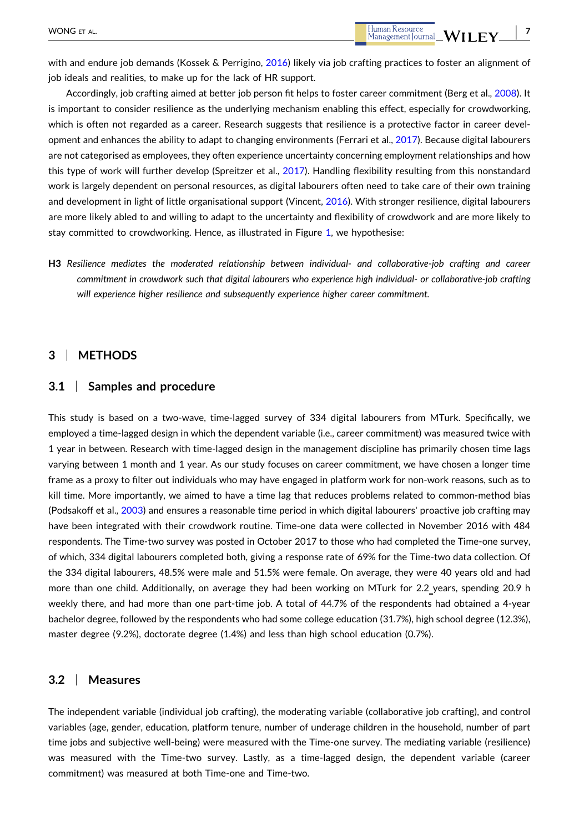with and endure job demands (Kossek & Perrigino, [2016](#page-17-0)) likely via job crafting practices to foster an alignment of job ideals and realities, to make up for the lack of HR support.

Accordingly, job crafting aimed at better job person fit helps to foster career commitment (Berg et al., [2008\)](#page-16-0). It is important to consider resilience as the underlying mechanism enabling this effect, especially for crowdworking, which is often not regarded as a career. Research suggests that resilience is a protective factor in career development and enhances the ability to adapt to changing environments (Ferrari et al., [2017\)](#page-16-0). Because digital labourers are not categorised as employees, they often experience uncertainty concerning employment relationships and how this type of work will further develop (Spreitzer et al., [2017](#page-17-0)). Handling flexibility resulting from this nonstandard work is largely dependent on personal resources, as digital labourers often need to take care of their own training and development in light of little organisational support (Vincent, [2016](#page-17-0)). With stronger resilience, digital labourers are more likely abled to and willing to adapt to the uncertainty and flexibility of crowdwork and are more likely to stay committed to crowdworking. Hence, as illustrated in Figure [1](#page-7-0), we hypothesise:

**H3** *Resilience mediates the moderated relationship between individual‐ and collaborative‐job crafting and career* commitment in crowdwork such that digital labourers who experience high individual- or collaborative-job crafting *will experience higher resilience and subsequently experience higher career commitment.*

### **3** <sup>|</sup> **METHODS**

### **3.1** <sup>|</sup> **Samples and procedure**

This study is based on a two-wave, time-lagged survey of 334 digital labourers from MTurk. Specifically, we employed a time‐lagged design in which the dependent variable (i.e., career commitment) was measured twice with 1 year in between. Research with time‐lagged design in the management discipline has primarily chosen time lags varying between 1 month and 1 year. As our study focuses on career commitment, we have chosen a longer time frame as a proxy to filter out individuals who may have engaged in platform work for non-work reasons, such as to kill time. More importantly, we aimed to have a time lag that reduces problems related to common‐method bias (Podsakoff et al., [2003\)](#page-17-0) and ensures a reasonable time period in which digital labourers' proactive job crafting may have been integrated with their crowdwork routine. Time-one data were collected in November 2016 with 484 respondents. The Time‐two survey was posted in October 2017 to those who had completed the Time‐one survey, of which, 334 digital labourers completed both, giving a response rate of 69% for the Time-two data collection. Of the 334 digital labourers, 48.5% were male and 51.5% were female. On average, they were 40 years old and had more than one child. Additionally, on average they had been working on MTurk for 2.2 years, spending 20.9 h weekly there, and had more than one part-time job. A total of 44.7% of the respondents had obtained a 4-year bachelor degree, followed by the respondents who had some college education (31.7%), high school degree (12.3%), master degree (9.2%), doctorate degree (1.4%) and less than high school education (0.7%).

### **3.2** <sup>|</sup> **Measures**

The independent variable (individual job crafting), the moderating variable (collaborative job crafting), and control variables (age, gender, education, platform tenure, number of underage children in the household, number of part time jobs and subjective well‐being) were measured with the Time‐one survey. The mediating variable (resilience) was measured with the Time-two survey. Lastly, as a time-lagged design, the dependent variable (career commitment) was measured at both Time‐one and Time‐two.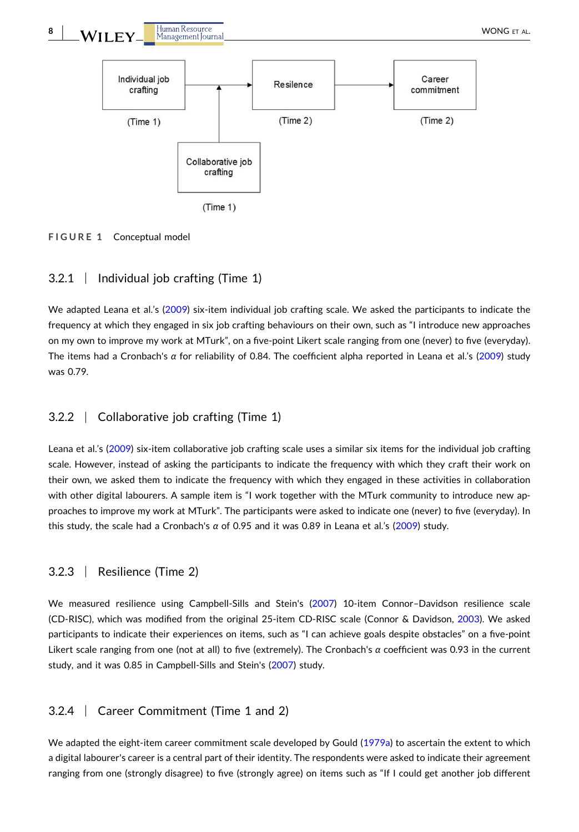<span id="page-7-0"></span>

**FIGURE 1** Conceptual model

# 3.2.1 <sup>|</sup> Individual job crafting (Time 1)

We adapted Leana et al.'s [\(2009\)](#page-17-0) six-item individual job crafting scale. We asked the participants to indicate the frequency at which they engaged in six job crafting behaviours on their own, such as "I introduce new approaches on my own to improve my work at MTurk", on a five‐point Likert scale ranging from one (never) to five (everyday). The items had a Cronbach's *α* for reliability of 0.84. The coefficient alpha reported in Leana et al.'s [\(2009\)](#page-17-0) study was 0.79.

# 3.2.2 <sup>|</sup> Collaborative job crafting (Time 1)

Leana et al.'s [\(2009\)](#page-17-0) six-item collaborative job crafting scale uses a similar six items for the individual job crafting scale. However, instead of asking the participants to indicate the frequency with which they craft their work on their own, we asked them to indicate the frequency with which they engaged in these activities in collaboration with other digital labourers. A sample item is "I work together with the MTurk community to introduce new approaches to improve my work at MTurk". The participants were asked to indicate one (never) to five (everyday). In this study, the scale had a Cronbach's *α* of 0.95 and it was 0.89 in Leana et al.'s [\(2009\)](#page-17-0) study.

# 3.2.3 <sup>|</sup> Resilience (Time 2)

We measured resilience using Campbell-Sills and Stein's [\(2007\)](#page-16-0) 10-item Connor–Davidson resilience scale (CD‐RISC), which was modified from the original 25‐item CD‐RISC scale (Connor & Davidson, [2003\)](#page-16-0). We asked participants to indicate their experiences on items, such as "I can achieve goals despite obstacles" on a five‐point Likert scale ranging from one (not at all) to five (extremely). The Cronbach's *α* coefficient was 0.93 in the current study, and it was 0.85 in Campbell-Sills and Stein's [\(2007\)](#page-16-0) study.

# 3.2.4 <sup>|</sup> Career Commitment (Time 1 and 2)

We adapted the eight-item career commitment scale developed by Gould [\(1979a\)](#page-16-0) to ascertain the extent to which a digital labourer's career is a central part of their identity. The respondents were asked to indicate their agreement ranging from one (strongly disagree) to five (strongly agree) on items such as "If I could get another job different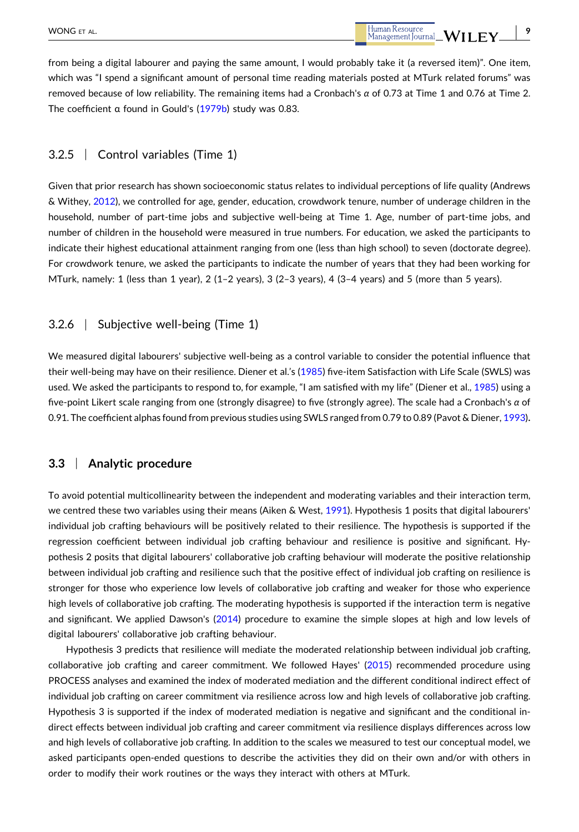- **9**

from being a digital labourer and paying the same amount, I would probably take it (a reversed item)". One item, which was "I spend a significant amount of personal time reading materials posted at MTurk related forums" was removed because of low reliability. The remaining items had a Cronbach's *α* of 0.73 at Time 1 and 0.76 at Time 2. The coefficient α found in Gould's [\(1979b\)](#page-16-0) study was 0.83.

# 3.2.5 <sup>|</sup> Control variables (Time 1)

Given that prior research has shown socioeconomic status relates to individual perceptions of life quality (Andrews & Withey, [2012\)](#page-16-0), we controlled for age, gender, education, crowdwork tenure, number of underage children in the household, number of part-time jobs and subjective well-being at Time 1. Age, number of part-time jobs, and number of children in the household were measured in true numbers. For education, we asked the participants to indicate their highest educational attainment ranging from one (less than high school) to seven (doctorate degree). For crowdwork tenure, we asked the participants to indicate the number of years that they had been working for MTurk, namely: 1 (less than 1 year), 2 (1–2 years), 3 (2–3 years), 4 (3–4 years) and 5 (more than 5 years).

### 3.2.6 <sup>|</sup> Subjective well‐being (Time 1)

We measured digital labourers' subjective well-being as a control variable to consider the potential influence that their well-being may have on their resilience. Diener et al.'s ([1985](#page-16-0)) five-item Satisfaction with Life Scale (SWLS) was used. We asked the participants to respond to, for example, "I am satisfied with my life" (Diener et al., [1985](#page-16-0)) using a five‐point Likert scale ranging from one (strongly disagree) to five (strongly agree). The scale had a Cronbach's *α* of 0.91. The coefficient alphas found from previous studies using SWLS ranged from 0.79 to 0.89 (Pavot & Diener, [1993\)](#page-17-0)**.**

# **3.3** <sup>|</sup> **Analytic procedure**

To avoid potential multicollinearity between the independent and moderating variables and their interaction term, we centred these two variables using their means (Aiken & West, [1991\)](#page-16-0). Hypothesis 1 posits that digital labourers' individual job crafting behaviours will be positively related to their resilience. The hypothesis is supported if the regression coefficient between individual job crafting behaviour and resilience is positive and significant. Hypothesis 2 posits that digital labourers' collaborative job crafting behaviour will moderate the positive relationship between individual job crafting and resilience such that the positive effect of individual job crafting on resilience is stronger for those who experience low levels of collaborative job crafting and weaker for those who experience high levels of collaborative job crafting. The moderating hypothesis is supported if the interaction term is negative and significant. We applied Dawson's ([2014](#page-16-0)) procedure to examine the simple slopes at high and low levels of digital labourers' collaborative job crafting behaviour.

Hypothesis 3 predicts that resilience will mediate the moderated relationship between individual job crafting, collaborative job crafting and career commitment. We followed Hayes' [\(2015\)](#page-16-0) recommended procedure using PROCESS analyses and examined the index of moderated mediation and the different conditional indirect effect of individual job crafting on career commitment via resilience across low and high levels of collaborative job crafting. Hypothesis 3 is supported if the index of moderated mediation is negative and significant and the conditional indirect effects between individual job crafting and career commitment via resilience displays differences across low and high levels of collaborative job crafting. In addition to the scales we measured to test our conceptual model, we asked participants open‐ended questions to describe the activities they did on their own and/or with others in order to modify their work routines or the ways they interact with others at MTurk.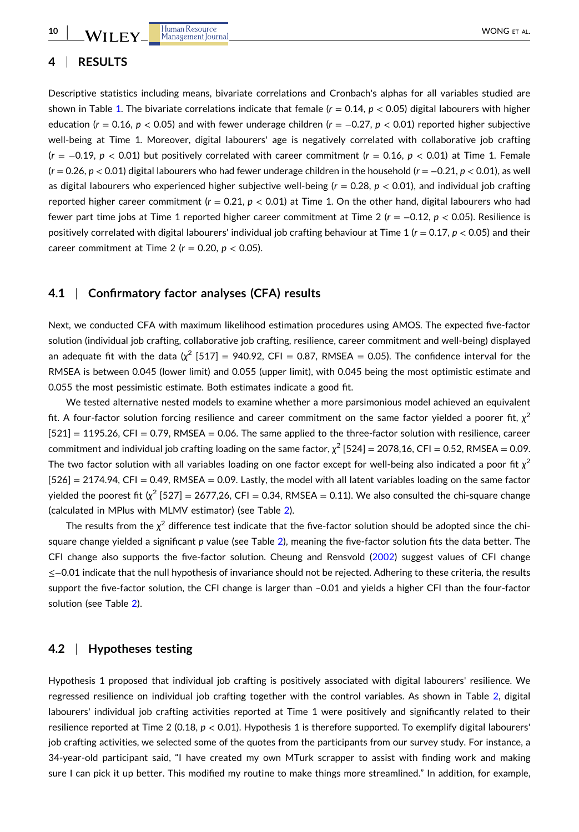**10**

# **4** <sup>|</sup> **RESULTS**

Descriptive statistics including means, bivariate correlations and Cronbach's alphas for all variables studied are shown in Table [1](#page-10-0). The bivariate correlations indicate that female  $(r = 0.14, p < 0.05)$  digital labourers with higher education (*r* = 0.16, *p* < 0.05) and with fewer underage children (*r* = −0.27, *p* < 0.01) reported higher subjective well-being at Time 1. Moreover, digital labourers' age is negatively correlated with collaborative job crafting (*r* = −0.19, *p* < 0.01) but positively correlated with career commitment (*r* = 0.16, *p* < 0.01) at Time 1. Female (*r* = 0.26, *p* < 0.01) digital labourers who had fewer underage children in the household (*r* = −0.21, *p* < 0.01), as well as digital labourers who experienced higher subjective well‐being (*r* = 0.28, *p* < 0.01), and individual job crafting reported higher career commitment  $(r = 0.21, p < 0.01)$  at Time 1. On the other hand, digital labourers who had fewer part time jobs at Time 1 reported higher career commitment at Time 2 (*r* = −0.12, *p* < 0.05). Resilience is positively correlated with digital labourers' individual job crafting behaviour at Time 1 (*r* = 0.17, *p* < 0.05) and their career commitment at Time 2 ( $r = 0.20$ ,  $p < 0.05$ ).

# **4.1** <sup>|</sup> **Confirmatory factor analyses (CFA) results**

Next, we conducted CFA with maximum likelihood estimation procedures using AMOS. The expected five‐factor solution (individual job crafting, collaborative job crafting, resilience, career commitment and well‐being) displayed an adequate fit with the data  $(\chi^2~[517] = 940.92$ , CFI = 0.87, RMSEA = 0.05). The confidence interval for the RMSEA is between 0.045 (lower limit) and 0.055 (upper limit), with 0.045 being the most optimistic estimate and 0.055 the most pessimistic estimate. Both estimates indicate a good fit.

We tested alternative nested models to examine whether a more parsimonious model achieved an equivalent fit. A four-factor solution forcing resilience and career commitment on the same factor yielded a poorer fit,  $\chi^2$  $[521] = 1195.26$ , CFI = 0.79, RMSEA = 0.06. The same applied to the three-factor solution with resilience, career commitment and individual job crafting loading on the same factor,  $\chi^2$  [524] = 2078,16, CFI = 0.52, RMSEA = 0.09. The two factor solution with all variables loading on one factor except for well-being also indicated a poor fit  $\chi^2$  $[526] = 2174.94$ , CFI = 0.49, RMSEA = 0.09. Lastly, the model with all latent variables loading on the same factor vielded the poorest fit ( $\chi^2$  [527] = 2677,26, CFI = 0.34, RMSEA = 0.11). We also consulted the chi-square change (calculated in MPlus with MLMV estimator) (see Table [2](#page-11-0)).

The results from the  $\chi^2$  difference test indicate that the five-factor solution should be adopted since the chi-square change yielded a significant p value (see Table [2](#page-11-0)), meaning the five-factor solution fits the data better. The CFI change also supports the five‐factor solution. Cheung and Rensvold ([2002](#page-16-0)) suggest values of CFI change ≤−0.01 indicate that the null hypothesis of invariance should not be rejected. Adhering to these criteria, the results support the five-factor solution, the CFI change is larger than -0.01 and yields a higher CFI than the four-factor solution (see Table [2\)](#page-11-0).

# **4.2** <sup>|</sup> **Hypotheses testing**

Hypothesis 1 proposed that individual job crafting is positively associated with digital labourers' resilience. We regressed resilience on individual job crafting together with the control variables. As shown in Table [2](#page-11-0), digital labourers' individual job crafting activities reported at Time 1 were positively and significantly related to their resilience reported at Time 2 (0.18, *p* < 0.01). Hypothesis 1 is therefore supported. To exemplify digital labourers' job crafting activities, we selected some of the quotes from the participants from our survey study. For instance, a 34-year-old participant said, "I have created my own MTurk scrapper to assist with finding work and making sure I can pick it up better. This modified my routine to make things more streamlined." In addition, for example,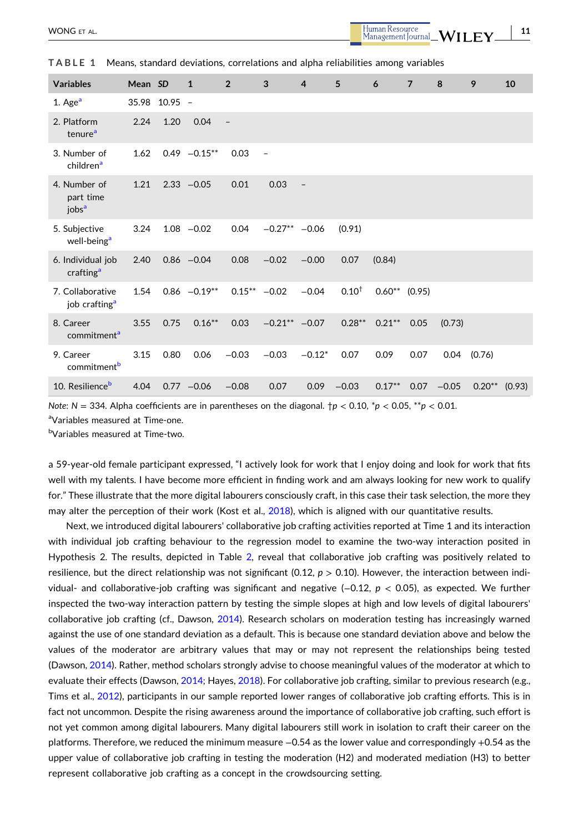- **11**

| <b>Variables</b>                                  | Mean SD |               | $\mathbf{1}$   | $\overline{2}$    | 3                        | $\overline{4}$    | 5          | 6               | $\overline{7}$ | 8       | 9               | 10 |
|---------------------------------------------------|---------|---------------|----------------|-------------------|--------------------------|-------------------|------------|-----------------|----------------|---------|-----------------|----|
| 1. Age $a$                                        |         | 35.98 10.95 - |                |                   |                          |                   |            |                 |                |         |                 |    |
| 2. Platform<br>tenure <sup>a</sup>                | 2.24    | 1.20          | 0.04           | $\qquad \qquad -$ |                          |                   |            |                 |                |         |                 |    |
| 3. Number of<br>children <sup>a</sup>             | 1.62    |               | $0.49 -0.15**$ | 0.03              | $\overline{\phantom{a}}$ |                   |            |                 |                |         |                 |    |
| 4. Number of<br>part time<br>$i$ obs <sup>a</sup> | 1.21    |               | $2.33 - 0.05$  | 0.01              | 0.03                     | $\qquad \qquad -$ |            |                 |                |         |                 |    |
| 5. Subjective<br>well-being <sup>a</sup>          | 3.24    |               | $1.08 - 0.02$  | 0.04              | $-0.27**$ -0.06          |                   | (0.91)     |                 |                |         |                 |    |
| 6. Individual job<br>crafting <sup>a</sup>        | 2.40    |               | $0.86 - 0.04$  | 0.08              | $-0.02$                  | $-0.00$           | 0.07       | (0.84)          |                |         |                 |    |
| 7. Collaborative<br>job crafting <sup>a</sup>     | 1.54    |               | $0.86 -0.19**$ |                   | $0.15***$ -0.02          | $-0.04$           | $0.10^{+}$ | $0.60**$ (0.95) |                |         |                 |    |
| 8. Career<br>commitment <sup>a</sup>              | 3.55    | 0.75          | $0.16***$      | 0.03              | $-0.21***$ -0.07         |                   | $0.28***$  | $0.21***$       | 0.05           | (0.73)  |                 |    |
| 9. Career<br>commitment <sup>b</sup>              | 3.15    | 0.80          | 0.06           | $-0.03$           | $-0.03$                  | $-0.12*$          | 0.07       | 0.09            | 0.07           | 0.04    | (0.76)          |    |
| 10. Resilience <sup>b</sup>                       | 4.04    |               | $0.77 - 0.06$  | $-0.08$           | 0.07                     | 0.09              | $-0.03$    | $0.17***$       | 0.07           | $-0.05$ | $0.20**$ (0.93) |    |

<span id="page-10-0"></span>**TABLE 1** Means, standard deviations, correlations and alpha reliabilities among variables

*Note*:  $N = 334$ . Alpha coefficients are in parentheses on the diagonal.  $\frac{1}{P}$  < 0.10,  $\frac{1}{P}$  < 0.05,  $\frac{1}{P}$  < 0.01.

a Variables measured at Time‐one.

<sup>b</sup>Variables measured at Time-two.

a 59‐year‐old female participant expressed, "I actively look for work that I enjoy doing and look for work that fits well with my talents. I have become more efficient in finding work and am always looking for new work to qualify for." These illustrate that the more digital labourers consciously craft, in this case their task selection, the more they may alter the perception of their work (Kost et al., [2018](#page-17-0)), which is aligned with our quantitative results.

Next, we introduced digital labourers' collaborative job crafting activities reported at Time 1 and its interaction with individual job crafting behaviour to the regression model to examine the two-way interaction posited in Hypothesis 2. The results, depicted in Table [2,](#page-11-0) reveal that collaborative job crafting was positively related to resilience, but the direct relationship was not significant  $(0.12, p > 0.10)$ . However, the interaction between individual‐ and collaborative‐job crafting was significant and negative (−0.12, *p* < 0.05), as expected. We further inspected the two‐way interaction pattern by testing the simple slopes at high and low levels of digital labourers' collaborative job crafting (cf., Dawson, [2014\)](#page-16-0). Research scholars on moderation testing has increasingly warned against the use of one standard deviation as a default. This is because one standard deviation above and below the values of the moderator are arbitrary values that may or may not represent the relationships being tested (Dawson, [2014\)](#page-16-0). Rather, method scholars strongly advise to choose meaningful values of the moderator at which to evaluate their effects (Dawson, [2014](#page-16-0); Hayes, [2018\)](#page-17-0). For collaborative job crafting, similar to previous research (e.g., Tims et al., [2012\)](#page-17-0), participants in our sample reported lower ranges of collaborative job crafting efforts. This is in fact not uncommon. Despite the rising awareness around the importance of collaborative job crafting, such effort is not yet common among digital labourers. Many digital labourers still work in isolation to craft their career on the platforms. Therefore, we reduced the minimum measure −0.54 as the lower value and correspondingly +0.54 as the upper value of collaborative job crafting in testing the moderation (H2) and moderated mediation (H3) to better represent collaborative job crafting as a concept in the crowdsourcing setting.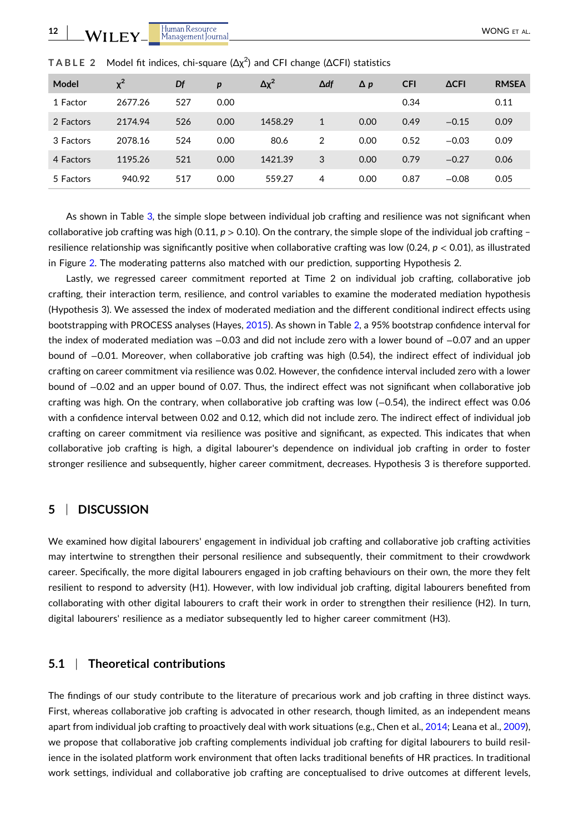| Model     | $x^2$   | Df  | p    | $\Delta \chi^2$ | $\Delta df$ | $\Delta p$ | <b>CFI</b> | <b>ACFI</b> | <b>RMSEA</b> |
|-----------|---------|-----|------|-----------------|-------------|------------|------------|-------------|--------------|
| 1 Factor  | 2677.26 | 527 | 0.00 |                 |             |            | 0.34       |             | 0.11         |
| 2 Factors | 2174.94 | 526 | 0.00 | 1458.29         | 1           | 0.00       | 0.49       | $-0.15$     | 0.09         |
| 3 Factors | 2078.16 | 524 | 0.00 | 80.6            | 2           | 0.00       | 0.52       | $-0.03$     | 0.09         |
| 4 Factors | 1195.26 | 521 | 0.00 | 1421.39         | 3           | 0.00       | 0.79       | $-0.27$     | 0.06         |
| 5 Factors | 940.92  | 517 | 0.00 | 559.27          | 4           | 0.00       | 0.87       | $-0.08$     | 0.05         |

<span id="page-11-0"></span>**TABLE 2** Model fit indices, chi‐square (Δχ<sup>2</sup> ) and CFI change (ΔCFI) statistics

As shown in Table [3,](#page-12-0) the simple slope between individual job crafting and resilience was not significant when collaborative job crafting was high (0.11,  $p > 0.10$ ). On the contrary, the simple slope of the individual job crafting – resilience relationship was significantly positive when collaborative crafting was low (0.24, *p* < 0.01), as illustrated in Figure [2](#page-13-0). The moderating patterns also matched with our prediction, supporting Hypothesis 2.

Lastly, we regressed career commitment reported at Time 2 on individual job crafting, collaborative job crafting, their interaction term, resilience, and control variables to examine the moderated mediation hypothesis (Hypothesis 3). We assessed the index of moderated mediation and the different conditional indirect effects using bootstrapping with PROCESS analyses (Hayes, [2015\)](#page-16-0). As shown in Table 2, a 95% bootstrap confidence interval for the index of moderated mediation was −0.03 and did not include zero with a lower bound of −0.07 and an upper bound of −0.01. Moreover, when collaborative job crafting was high (0.54), the indirect effect of individual job crafting on career commitment via resilience was 0.02. However, the confidence interval included zero with a lower bound of −0.02 and an upper bound of 0.07. Thus, the indirect effect was not significant when collaborative job crafting was high. On the contrary, when collaborative job crafting was low (−0.54), the indirect effect was 0.06 with a confidence interval between 0.02 and 0.12, which did not include zero. The indirect effect of individual job crafting on career commitment via resilience was positive and significant, as expected. This indicates that when collaborative job crafting is high, a digital labourer's dependence on individual job crafting in order to foster stronger resilience and subsequently, higher career commitment, decreases. Hypothesis 3 is therefore supported.

# **5** <sup>|</sup> **DISCUSSION**

We examined how digital labourers' engagement in individual job crafting and collaborative job crafting activities may intertwine to strengthen their personal resilience and subsequently, their commitment to their crowdwork career. Specifically, the more digital labourers engaged in job crafting behaviours on their own, the more they felt resilient to respond to adversity (H1). However, with low individual job crafting, digital labourers benefited from collaborating with other digital labourers to craft their work in order to strengthen their resilience (H2). In turn, digital labourers' resilience as a mediator subsequently led to higher career commitment (H3).

# **5.1** <sup>|</sup> **Theoretical contributions**

The findings of our study contribute to the literature of precarious work and job crafting in three distinct ways. First, whereas collaborative job crafting is advocated in other research, though limited, as an independent means apart from individual job crafting to proactively deal with work situations (e.g., Chen et al., [2014;](#page-16-0) Leana et al., [2009](#page-17-0)), we propose that collaborative job crafting complements individual job crafting for digital labourers to build resilience in the isolated platform work environment that often lacks traditional benefits of HR practices. In traditional work settings, individual and collaborative job crafting are conceptualised to drive outcomes at different levels,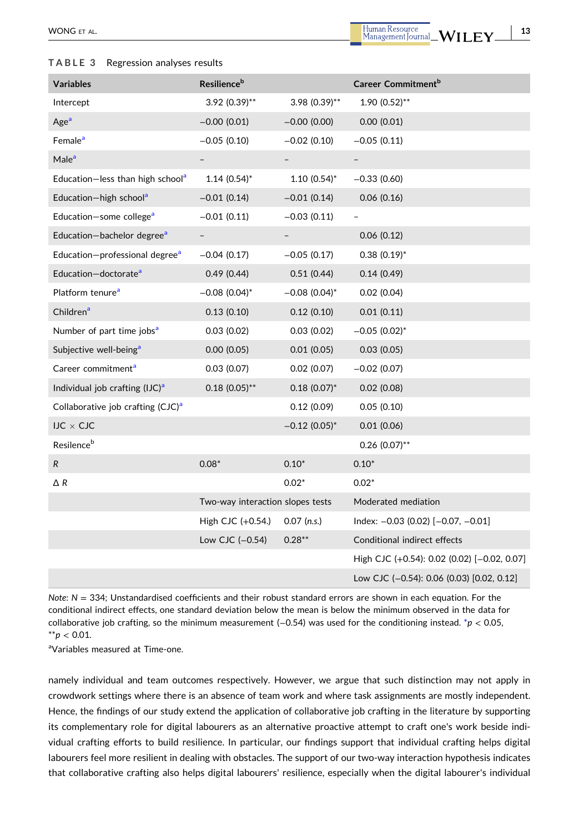#### <span id="page-12-0"></span>**TABLE 3** Regression analyses results

- **13**

| <b>Variables</b>                              | Resilience <sup>b</sup>          |                             | Career Commitment <sup>b</sup>              |
|-----------------------------------------------|----------------------------------|-----------------------------|---------------------------------------------|
| Intercept                                     | $3.92$ (0.39)**                  | $3.98(0.39)$ **             | $1.90(0.52)$ **                             |
| Age <sup>a</sup>                              | $-0.00$ (0.01)                   | $-0.00$ (0.00)              | 0.00(0.01)                                  |
| Female <sup>a</sup>                           | $-0.05(0.10)$                    | $-0.02(0.10)$               | $-0.05(0.11)$                               |
| Male <sup>a</sup>                             |                                  |                             |                                             |
| Education-less than high school <sup>a</sup>  | $1.14(0.54)$ *                   | $1.10(0.54)$ *              | $-0.33(0.60)$                               |
| Education-high school <sup>a</sup>            | $-0.01(0.14)$                    | $-0.01(0.14)$               | 0.06(0.16)                                  |
| Education-some college <sup>a</sup>           | $-0.01(0.11)$                    | $-0.03(0.11)$               |                                             |
| Education-bachelor degree <sup>a</sup>        |                                  |                             | 0.06(0.12)                                  |
| Education-professional degree <sup>a</sup>    | $-0.04(0.17)$                    | $-0.05(0.17)$               | $0.38(0.19)^*$                              |
| Education-doctorate <sup>a</sup>              | 0.49(0.44)                       | 0.51(0.44)                  | 0.14(0.49)                                  |
| Platform tenure <sup>a</sup>                  | $-0.08$ (0.04) <sup>*</sup>      | $-0.08$ (0.04) <sup>*</sup> | 0.02(0.04)                                  |
| Children <sup>a</sup>                         | 0.13(0.10)                       | 0.12(0.10)                  | 0.01(0.11)                                  |
| Number of part time jobs <sup>a</sup>         | 0.03(0.02)                       | 0.03(0.02)                  | $-0.05$ (0.02)*                             |
| Subjective well-being <sup>a</sup>            | 0.00(0.05)                       | 0.01(0.05)                  | 0.03(0.05)                                  |
| Career commitment <sup>a</sup>                | 0.03(0.07)                       | 0.02(0.07)                  | $-0.02$ (0.07)                              |
| Individual job crafting $(IJC)^a$             | $0.18(0.05)$ **                  | $0.18(0.07)^*$              | 0.02(0.08)                                  |
| Collaborative job crafting (CJC) <sup>a</sup> |                                  | 0.12(0.09)                  | 0.05(0.10)                                  |
| IJC $\times$ CJC                              |                                  | $-0.12$ (0.05) <sup>*</sup> | 0.01(0.06)                                  |
| Resilence <sup>b</sup>                        |                                  |                             | $0.26$ (0.07)**                             |
| ${\sf R}$                                     | $0.08*$                          | $0.10*$                     | $0.10*$                                     |
| $\Delta$ R                                    |                                  | $0.02*$                     | $0.02*$                                     |
|                                               | Two-way interaction slopes tests |                             | Moderated mediation                         |
|                                               | High CJC (+0.54.)                | $0.07$ (n.s.)               | Index: $-0.03$ (0.02) $[-0.07, -0.01]$      |
|                                               | Low CJC (-0.54)                  | $0.28**$                    | Conditional indirect effects                |
|                                               |                                  |                             | High CJC (+0.54): 0.02 (0.02) [-0.02, 0.07] |
|                                               |                                  |                             | Low CJC (-0.54): 0.06 (0.03) [0.02, 0.12]   |

*Note*: *N* = 334; Unstandardised coefficients and their robust standard errors are shown in each equation. For the conditional indirect effects, one standard deviation below the mean is below the minimum observed in the data for collaborative job crafting, so the minimum measurement (−0.54) was used for the conditioning instead. \**p* < 0.05,  $*$ *r* $p$  < 0.01.

a Variables measured at Time‐one.

namely individual and team outcomes respectively. However, we argue that such distinction may not apply in crowdwork settings where there is an absence of team work and where task assignments are mostly independent. Hence, the findings of our study extend the application of collaborative job crafting in the literature by supporting its complementary role for digital labourers as an alternative proactive attempt to craft one's work beside individual crafting efforts to build resilience. In particular, our findings support that individual crafting helps digital labourers feel more resilient in dealing with obstacles. The support of our two-way interaction hypothesis indicates that collaborative crafting also helps digital labourers' resilience, especially when the digital labourer's individual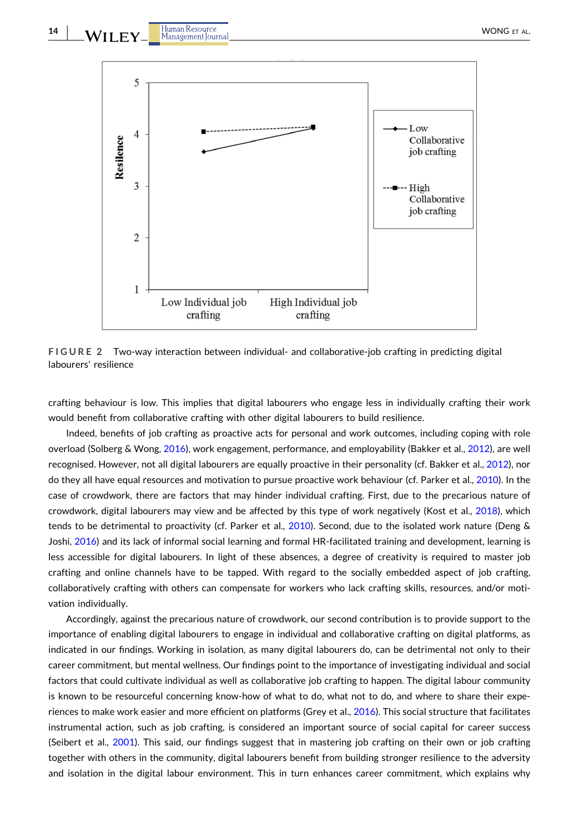<span id="page-13-0"></span>

**FIGURE 2 Two-way interaction between individual- and collaborative-job crafting in predicting digital** labourers' resilience

crafting behaviour is low. This implies that digital labourers who engage less in individually crafting their work would benefit from collaborative crafting with other digital labourers to build resilience.

Indeed, benefits of job crafting as proactive acts for personal and work outcomes, including coping with role overload (Solberg & Wong, [2016](#page-17-0)), work engagement, performance, and employability (Bakker et al., [2012](#page-16-0)), are well recognised. However, not all digital labourers are equally proactive in their personality (cf. Bakker et al., [2012\)](#page-16-0), nor do they all have equal resources and motivation to pursue proactive work behaviour (cf. Parker et al., [2010](#page-17-0)). In the case of crowdwork, there are factors that may hinder individual crafting. First, due to the precarious nature of crowdwork, digital labourers may view and be affected by this type of work negatively (Kost et al., [2018\)](#page-17-0), which tends to be detrimental to proactivity (cf. Parker et al., [2010](#page-17-0)). Second, due to the isolated work nature (Deng & Joshi, [2016\)](#page-16-0) and its lack of informal social learning and formal HR‐facilitated training and development, learning is less accessible for digital labourers. In light of these absences, a degree of creativity is required to master job crafting and online channels have to be tapped. With regard to the socially embedded aspect of job crafting, collaboratively crafting with others can compensate for workers who lack crafting skills, resources, and/or motivation individually.

Accordingly, against the precarious nature of crowdwork, our second contribution is to provide support to the importance of enabling digital labourers to engage in individual and collaborative crafting on digital platforms, as indicated in our findings. Working in isolation, as many digital labourers do, can be detrimental not only to their career commitment, but mental wellness. Our findings point to the importance of investigating individual and social factors that could cultivate individual as well as collaborative job crafting to happen. The digital labour community is known to be resourceful concerning know-how of what to do, what not to do, and where to share their experiences to make work easier and more efficient on platforms (Grey et al., [2016\)](#page-16-0). This social structure that facilitates instrumental action, such as job crafting, is considered an important source of social capital for career success (Seibert et al., [2001\)](#page-17-0). This said, our findings suggest that in mastering job crafting on their own or job crafting together with others in the community, digital labourers benefit from building stronger resilience to the adversity and isolation in the digital labour environment. This in turn enhances career commitment, which explains why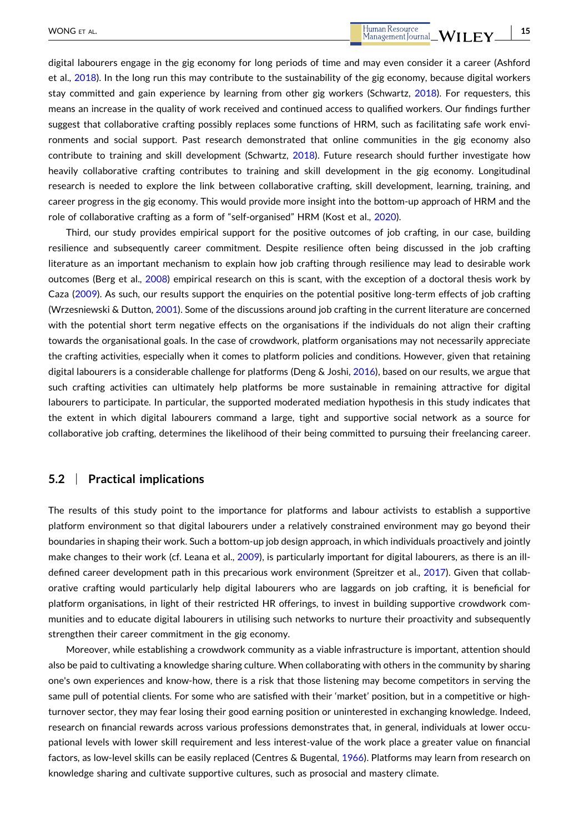digital labourers engage in the gig economy for long periods of time and may even consider it a career (Ashford et al., [2018\)](#page-16-0). In the long run this may contribute to the sustainability of the gig economy, because digital workers stay committed and gain experience by learning from other gig workers (Schwartz, [2018\)](#page-17-0). For requesters, this means an increase in the quality of work received and continued access to qualified workers. Our findings further suggest that collaborative crafting possibly replaces some functions of HRM, such as facilitating safe work environments and social support. Past research demonstrated that online communities in the gig economy also contribute to training and skill development (Schwartz, [2018\)](#page-17-0). Future research should further investigate how heavily collaborative crafting contributes to training and skill development in the gig economy. Longitudinal research is needed to explore the link between collaborative crafting, skill development, learning, training, and career progress in the gig economy. This would provide more insight into the bottom‐up approach of HRM and the role of collaborative crafting as a form of "self-organised" HRM (Kost et al., [2020\)](#page-17-0).

Third, our study provides empirical support for the positive outcomes of job crafting, in our case, building resilience and subsequently career commitment. Despite resilience often being discussed in the job crafting literature as an important mechanism to explain how job crafting through resilience may lead to desirable work outcomes (Berg et al., [2008](#page-16-0)) empirical research on this is scant, with the exception of a doctoral thesis work by Caza ([2009](#page-16-0)). As such, our results support the enquiries on the potential positive long-term effects of job crafting (Wrzesniewski & Dutton, [2001\)](#page-17-0). Some of the discussions around job crafting in the current literature are concerned with the potential short term negative effects on the organisations if the individuals do not align their crafting towards the organisational goals. In the case of crowdwork, platform organisations may not necessarily appreciate the crafting activities, especially when it comes to platform policies and conditions. However, given that retaining digital labourers is a considerable challenge for platforms (Deng & Joshi, [2016](#page-16-0)), based on our results, we argue that such crafting activities can ultimately help platforms be more sustainable in remaining attractive for digital labourers to participate. In particular, the supported moderated mediation hypothesis in this study indicates that the extent in which digital labourers command a large, tight and supportive social network as a source for collaborative job crafting, determines the likelihood of their being committed to pursuing their freelancing career.

# **5.2** <sup>|</sup> **Practical implications**

The results of this study point to the importance for platforms and labour activists to establish a supportive platform environment so that digital labourers under a relatively constrained environment may go beyond their boundaries in shaping their work. Such a bottom-up job design approach, in which individuals proactively and jointly make changes to their work (cf. Leana et al., [2009](#page-17-0)), is particularly important for digital labourers, as there is an ill-defined career development path in this precarious work environment (Spreitzer et al., [2017](#page-17-0)). Given that collaborative crafting would particularly help digital labourers who are laggards on job crafting, it is beneficial for platform organisations, in light of their restricted HR offerings, to invest in building supportive crowdwork communities and to educate digital labourers in utilising such networks to nurture their proactivity and subsequently strengthen their career commitment in the gig economy.

Moreover, while establishing a crowdwork community as a viable infrastructure is important, attention should also be paid to cultivating a knowledge sharing culture. When collaborating with others in the community by sharing one's own experiences and know‐how, there is a risk that those listening may become competitors in serving the same pull of potential clients. For some who are satisfied with their 'market' position, but in a competitive or highturnover sector, they may fear losing their good earning position or uninterested in exchanging knowledge. Indeed, research on financial rewards across various professions demonstrates that, in general, individuals at lower occupational levels with lower skill requirement and less interest-value of the work place a greater value on financial factors, as low-level skills can be easily replaced (Centres & Bugental, [1966\)](#page-16-0). Platforms may learn from research on knowledge sharing and cultivate supportive cultures, such as prosocial and mastery climate.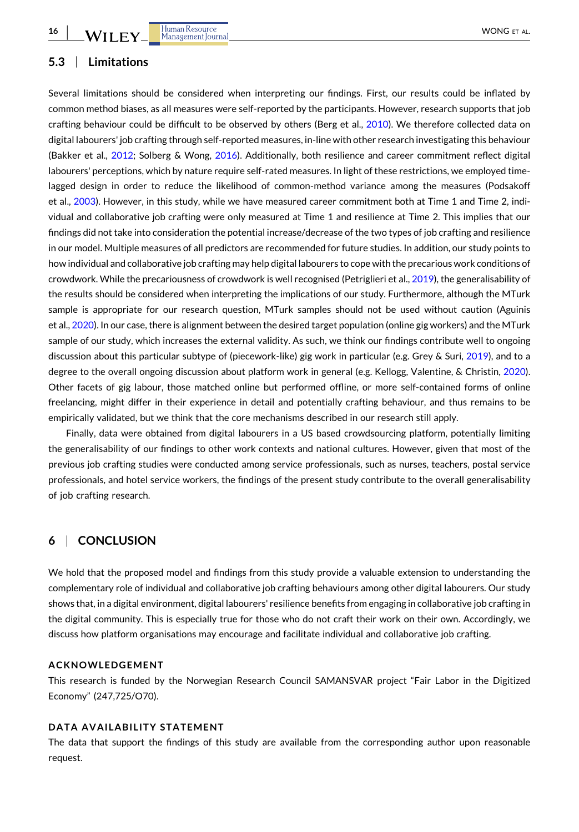**16**

# **5.3** <sup>|</sup> **Limitations**

Several limitations should be considered when interpreting our findings. First, our results could be inflated by common method biases, as all measures were self-reported by the participants. However, research supports that job crafting behaviour could be difficult to be observed by others (Berg et al., [2010](#page-16-0)). We therefore collected data on digital labourers' job crafting through self‐reported measures, in‐line with other research investigating this behaviour (Bakker et al., [2012;](#page-16-0) Solberg & Wong, [2016\)](#page-17-0). Additionally, both resilience and career commitment reflect digital labourers' perceptions, which by nature require self-rated measures. In light of these restrictions, we employed timelagged design in order to reduce the likelihood of common‐method variance among the measures (Podsakoff et al., [2003](#page-17-0)). However, in this study, while we have measured career commitment both at Time 1 and Time 2, individual and collaborative job crafting were only measured at Time 1 and resilience at Time 2. This implies that our findings did not take into consideration the potential increase/decrease of the two types of job crafting and resilience in our model. Multiple measures of all predictors are recommended for future studies. In addition, our study points to how individual and collaborative job crafting may help digital labourers to cope with the precarious work conditions of crowdwork. While the precariousness of crowdwork is well recognised (Petriglieri et al., [2019](#page-17-0)), the generalisability of the results should be considered when interpreting the implications of our study. Furthermore, although the MTurk sample is appropriate for our research question, MTurk samples should not be used without caution (Aguinis et al., [2020\)](#page-16-0). In our case, there is alignment between the desired target population (online gig workers) and the MTurk sample of our study, which increases the external validity. As such, we think our findings contribute well to ongoing discussion about this particular subtype of (piecework‐like) gig work in particular (e.g. Grey & Suri, [2019\)](#page-16-0), and to a degree to the overall ongoing discussion about platform work in general (e.g. Kellogg, Valentine, & Christin, [2020](#page-17-0)). Other facets of gig labour, those matched online but performed offline, or more self-contained forms of online freelancing, might differ in their experience in detail and potentially crafting behaviour, and thus remains to be empirically validated, but we think that the core mechanisms described in our research still apply.

Finally, data were obtained from digital labourers in a US based crowdsourcing platform, potentially limiting the generalisability of our findings to other work contexts and national cultures. However, given that most of the previous job crafting studies were conducted among service professionals, such as nurses, teachers, postal service professionals, and hotel service workers, the findings of the present study contribute to the overall generalisability of job crafting research.

# **6** <sup>|</sup> **CONCLUSION**

We hold that the proposed model and findings from this study provide a valuable extension to understanding the complementary role of individual and collaborative job crafting behaviours among other digital labourers. Our study shows that, in a digital environment, digital labourers' resilience benefits from engaging in collaborative job crafting in the digital community. This is especially true for those who do not craft their work on their own. Accordingly, we discuss how platform organisations may encourage and facilitate individual and collaborative job crafting.

#### **ACKNOWLEDGEMENT**

This research is funded by the Norwegian Research Council SAMANSVAR project "Fair Labor in the Digitized Economy" (247,725/O70).

# **DATA AVAILABILITY STATEMENT**

The data that support the findings of this study are available from the corresponding author upon reasonable request.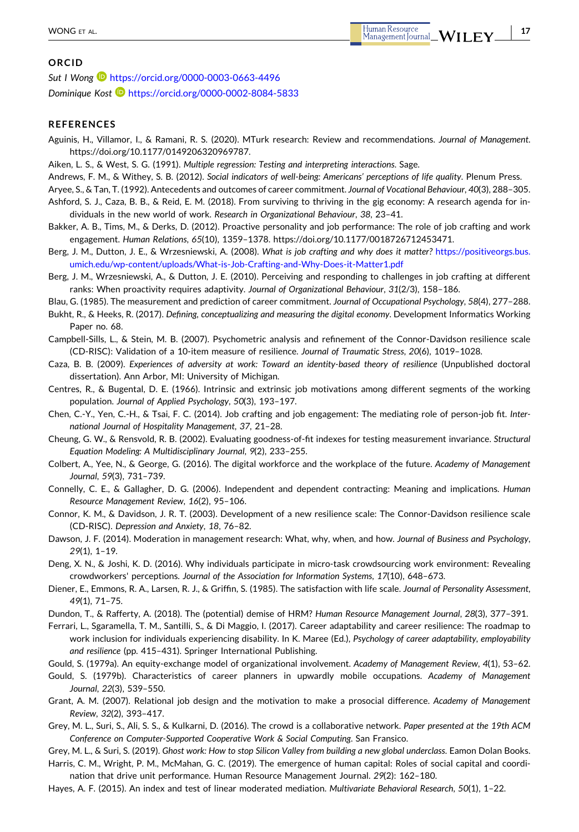- **17**

#### <span id="page-16-0"></span>**ORCID**

*Sut I Wong* <https://orcid.org/0000-0003-0663-4496> *Dominique Kost* <https://orcid.org/0000-0002-8084-5833>

#### **REFERENCES**

Aguinis, H., Villamor, I., & Ramani, R. S. (2020). MTurk research: Review and recommendations. *Journal of Management*. <https://doi.org/10.1177/0149206320969787>.

Aiken, L. S., & West, S. G. (1991). *Multiple regression: Testing and interpreting interactions*. Sage.

- Andrews, F. M., & Withey, S. B. (2012). *Social indicators of well‐being: Americans' perceptions of life quality*. Plenum Press.
- Aryee, S., & Tan, T. (1992). Antecedents and outcomes of career commitment. *Journal of Vocational Behaviour*, *40*(3), 288–305.
- Ashford, S. J., Caza, B. B., & Reid, E. M. (2018). From surviving to thriving in the gig economy: A research agenda for individuals in the new world of work. *Research in Organizational Behaviour*, *38*, 23–41.
- Bakker, A. B., Tims, M., & Derks, D. (2012). Proactive personality and job performance: The role of job crafting and work engagement. *Human Relations*, *65*(10), 1359–1378. [https://doi.org/10.1177/0018726712453471.](https://doi.org/10.1177/0018726712453471)
- Berg, J. M., Dutton, J. E., & Wrzesniewski, A. (2008). *What is job crafting and why does it matter?* [https://positiveorgs.bus.](https://positiveorgs.bus.umich.edu/wp-content/uploads/What-is-Job-Crafting-and-Why-Does-it-Matter1.pdf) umich.edu/wp‐[content/uploads/What](https://positiveorgs.bus.umich.edu/wp-content/uploads/What-is-Job-Crafting-and-Why-Does-it-Matter1.pdf)‐is‐Job‐Crafting‐and‐Why‐Does‐it‐Matter1.pdf
- Berg, J. M., Wrzesniewski, A., & Dutton, J. E. (2010). Perceiving and responding to challenges in job crafting at different ranks: When proactivity requires adaptivity. *Journal of Organizational Behaviour*, *31*(2/3), 158–186.

Blau, G. (1985). The measurement and prediction of career commitment. *Journal of Occupational Psychology*, *58*(4), 277–288.

- Bukht, R., & Heeks, R. (2017). *Defining, conceptualizing and measuring the digital economy*. Development Informatics Working Paper no. 68.
- Campbell‐Sills, L., & Stein, M. B. (2007). Psychometric analysis and refinement of the Connor‐Davidson resilience scale (CD‐RISC): Validation of a 10‐item measure of resilience. *Journal of Traumatic Stress*, *20*(6), 1019–1028.

Caza, B. B. (2009). *Experiences of adversity at work: Toward an identity‐based theory of resilience* (Unpublished doctoral dissertation). Ann Arbor, MI: University of Michigan.

Centres, R., & Bugental, D. E. (1966). Intrinsic and extrinsic job motivations among different segments of the working population. *Journal of Applied Psychology*, *50*(3), 193–197.

Chen, C.‐Y., Yen, C.‐H., & Tsai, F. C. (2014). Job crafting and job engagement: The mediating role of person‐job fit. *International Journal of Hospitality Management*, *37*, 21–28.

Cheung, G. W., & Rensvold, R. B. (2002). Evaluating goodness‐of‐fit indexes for testing measurement invariance. *Structural Equation Modeling: A Multidisciplinary Journal*, *9*(2), 233–255.

- Colbert, A., Yee, N., & George, G. (2016). The digital workforce and the workplace of the future. *Academy of Management Journal*, *59*(3), 731–739.
- Connelly, C. E., & Gallagher, D. G. (2006). Independent and dependent contracting: Meaning and implications. *Human Resource Management Review*, *16*(2), 95–106.
- Connor, K. M., & Davidson, J. R. T. (2003). Development of a new resilience scale: The Connor‐Davidson resilience scale (CD‐RISC). *Depression and Anxiety*, *18*, 76–82.
- Dawson, J. F. (2014). Moderation in management research: What, why, when, and how. *Journal of Business and Psychology*, *29*(1), 1–19.
- Deng, X. N., & Joshi, K. D. (2016). Why individuals participate in micro-task crowdsourcing work environment: Revealing crowdworkers' perceptions. *Journal of the Association for Information Systems*, *17*(10), 648–673.
- Diener, E., Emmons, R. A., Larsen, R. J., & Griffin, S. (1985). The satisfaction with life scale. *Journal of Personality Assessment*, *49*(1), 71–75.
- Dundon, T., & Rafferty, A. (2018). The (potential) demise of HRM? *Human Resource Management Journal*, *28*(3), 377–391.
- Ferrari, L., Sgaramella, T. M., Santilli, S., & Di Maggio, I. (2017). Career adaptability and career resilience: The roadmap to work inclusion for individuals experiencing disability. In K. Maree (Ed.), *Psychology of career adaptability, employability and resilience* (pp. 415–431). Springer International Publishing.
- Gould, S. (1979a). An equity‐exchange model of organizational involvement. *Academy of Management Review*, *4*(1), 53–62.
- Gould, S. (1979b). Characteristics of career planners in upwardly mobile occupations. *Academy of Management Journal*, *22*(3), 539–550.
- Grant, A. M. (2007). Relational job design and the motivation to make a prosocial difference. *Academy of Management Review*, *32*(2), 393–417.
- Grey, M. L., Suri, S., Ali, S. S., & Kulkarni, D. (2016). The crowd is a collaborative network. *Paper presented at the 19th ACM Conference on Computer‐Supported Cooperative Work & Social Computing*. San Fransico.

Grey, M. L., & Suri, S. (2019). *Ghost work: How to stop Silicon Valley from building a new global underclass*. Eamon Dolan Books. Harris, C. M., Wright, P. M., McMahan, G. C. (2019). The emergence of human capital: Roles of social capital and coordination that drive unit performance. Human Resource Management Journal. *29*(2): 162–180.

Hayes, A. F. (2015). An index and test of linear moderated mediation. *Multivariate Behavioral Research*, *50*(1), 1–22.